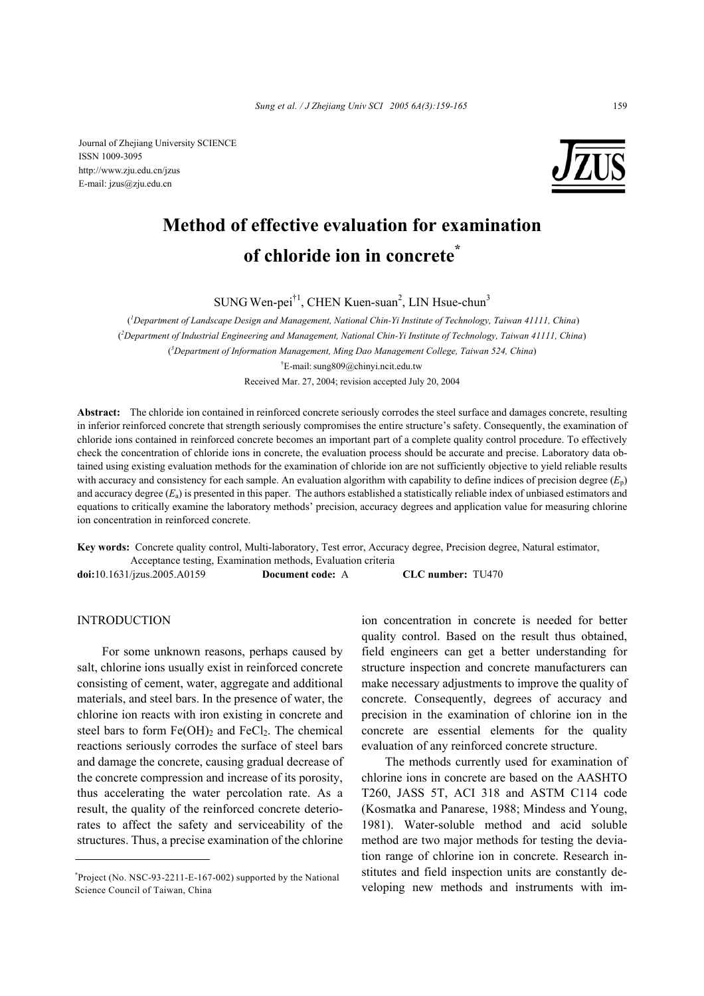Journal of Zhejiang University SCIENCE ISSN 1009-3095 http://www.zju.edu.cn/jzus E-mail: jzus@zju.edu.cn



# **Method of effective evaluation for examination of chloride ion in concrete\***

SUNG Wen-pei<sup>†1</sup>, CHEN Kuen-suan<sup>2</sup>, LIN Hsue-chun<sup>3</sup>

 (*1 Department of Landscape Design and Management, National Chin-Yi Institute of Technology, Taiwan 41111, China*) ( *2 Department of Industrial Engineering and Management, National Chin-Yi Institute of Technology, Taiwan 41111, China*) ( *3 Department of Information Management, Ming Dao Management College, Taiwan 524, China*) † E-mail:sung809@chinyi.ncit.edu.tw Received Mar. 27, 2004; revision accepted July 20, 2004

**Abstract:** The chloride ion contained in reinforced concrete seriously corrodes the steel surface and damages concrete, resulting in inferior reinforced concrete that strength seriously compromises the entire structure's safety. Consequently, the examination of chloride ions contained in reinforced concrete becomes an important part of a complete quality control procedure. To effectively check the concentration of chloride ions in concrete, the evaluation process should be accurate and precise. Laboratory data obtained using existing evaluation methods for the examination of chloride ion are not sufficiently objective to yield reliable results with accuracy and consistency for each sample. An evaluation algorithm with capability to define indices of precision degree ( $E_p$ ) and accuracy degree  $(E_a)$  is presented in this paper. The authors established a statistically reliable index of unbiased estimators and equations to critically examine the laboratory methods' precision, accuracy degrees and application value for measuring chlorine ion concentration in reinforced concrete.

**Key words:** Concrete quality control, Multi-laboratory, Test error, Accuracy degree, Precision degree, Natural estimator, Acceptance testing, Examination methods, Evaluation criteria **doi:**10.1631/jzus.2005.A0159 **Document code:** A **CLC number:** TU470

## INTRODUCTION

For some unknown reasons, perhaps caused by salt, chlorine ions usually exist in reinforced concrete consisting of cement, water, aggregate and additional materials, and steel bars. In the presence of water, the chlorine ion reacts with iron existing in concrete and steel bars to form  $Fe(OH)_2$  and  $FeCl_2$ . The chemical reactions seriously corrodes the surface of steel bars and damage the concrete, causing gradual decrease of the concrete compression and increase of its porosity, thus accelerating the water percolation rate. As a result, the quality of the reinforced concrete deteriorates to affect the safety and serviceability of the structures. Thus, a precise examination of the chlorine

ion concentration in concrete is needed for better quality control. Based on the result thus obtained, field engineers can get a better understanding for structure inspection and concrete manufacturers can make necessary adjustments to improve the quality of concrete. Consequently, degrees of accuracy and precision in the examination of chlorine ion in the concrete are essential elements for the quality evaluation of any reinforced concrete structure.

The methods currently used for examination of chlorine ions in concrete are based on the AASHTO T260, JASS 5T, ACI 318 and ASTM C114 code (Kosmatka and Panarese, 1988; Mindess and Young, 1981). Water-soluble method and acid soluble method are two major methods for testing the deviation range of chlorine ion in concrete. Research institutes and field inspection units are constantly developing new methods and instruments with im-

<sup>\*</sup> Project (No. NSC-93-2211-E-167-002) supported by the National Science Council of Taiwan, China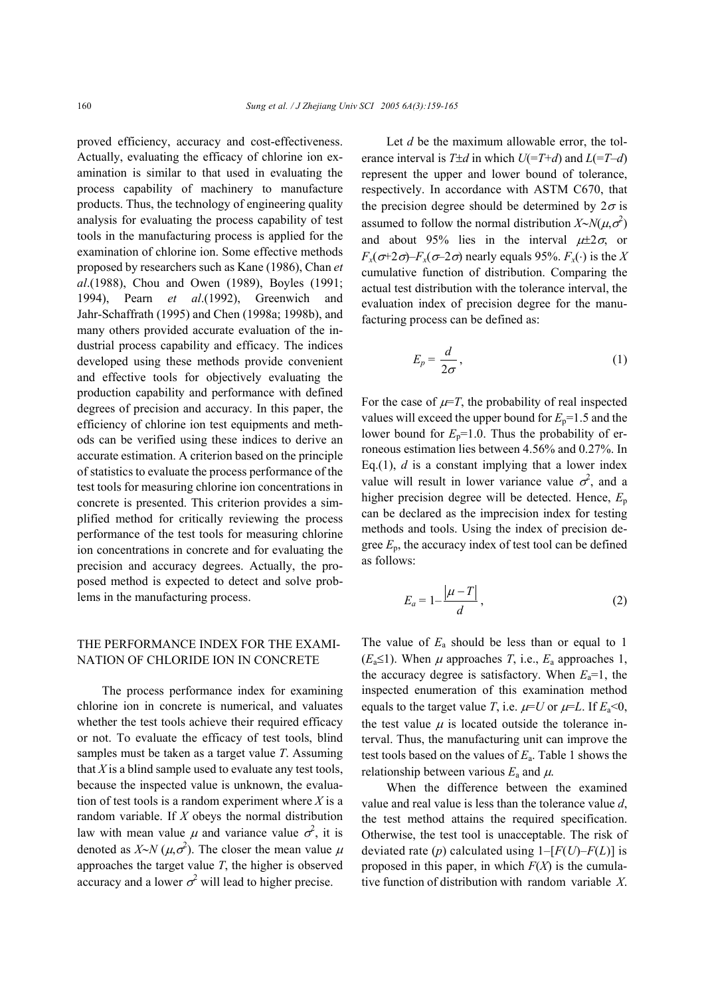proved efficiency, accuracy and cost-effectiveness. Actually, evaluating the efficacy of chlorine ion examination is similar to that used in evaluating the process capability of machinery to manufacture products. Thus, the technology of engineering quality analysis for evaluating the process capability of test tools in the manufacturing process is applied for the examination of chlorine ion. Some effective methods proposed by researchers such as Kane (1986), Chan *et al*.(1988), Chou and Owen (1989), Boyles (1991; 1994), Pearn *et al*.(1992), Greenwich and Jahr-Schaffrath (1995) and Chen (1998a; 1998b), and many others provided accurate evaluation of the industrial process capability and efficacy. The indices developed using these methods provide convenient and effective tools for objectively evaluating the production capability and performance with defined degrees of precision and accuracy. In this paper, the efficiency of chlorine ion test equipments and methods can be verified using these indices to derive an accurate estimation. A criterion based on the principle of statistics to evaluate the process performance of the test tools for measuring chlorine ion concentrations in concrete is presented. This criterion provides a simplified method for critically reviewing the process performance of the test tools for measuring chlorine ion concentrations in concrete and for evaluating the precision and accuracy degrees. Actually, the proposed method is expected to detect and solve problems in the manufacturing process.

# THE PERFORMANCE INDEX FOR THE EXAMI-NATION OF CHLORIDE ION IN CONCRETE

The process performance index for examining chlorine ion in concrete is numerical, and valuates whether the test tools achieve their required efficacy or not. To evaluate the efficacy of test tools, blind samples must be taken as a target value *T*. Assuming that *X* is a blind sample used to evaluate any test tools, because the inspected value is unknown, the evaluation of test tools is a random experiment where *X* is a random variable. If *X* obeys the normal distribution law with mean value  $\mu$  and variance value  $\sigma^2$ , it is denoted as  $X \sim N(\mu, \sigma^2)$ . The closer the mean value  $\mu$ approaches the target value *T*, the higher is observed accuracy and a lower  $\sigma^2$  will lead to higher precise.

Let *d* be the maximum allowable error, the tolerance interval is  $T \pm d$  in which  $U(T + d)$  and  $L(T - d)$ represent the upper and lower bound of tolerance, respectively. In accordance with ASTM C670, that the precision degree should be determined by  $2\sigma$  is assumed to follow the normal distribution  $X \sim N(\mu, \sigma^2)$ and about 95% lies in the interval  $\mu \pm 2\sigma$ , or  $F_x(\sigma+2\sigma)$ – $F_x(\sigma-2\sigma)$  nearly equals 95%.  $F_x(\cdot)$  is the X cumulative function of distribution. Comparing the actual test distribution with the tolerance interval, the evaluation index of precision degree for the manufacturing process can be defined as:

$$
E_p = \frac{d}{2\sigma},\tag{1}
$$

For the case of  $\mu = T$ , the probability of real inspected values will exceed the upper bound for  $E_p=1.5$  and the lower bound for  $E_p=1.0$ . Thus the probability of erroneous estimation lies between 4.56% and 0.27%. In Eq.(1),  $d$  is a constant implying that a lower index value will result in lower variance value  $\sigma^2$ , and a higher precision degree will be detected. Hence, *E*<sup>p</sup> can be declared as the imprecision index for testing methods and tools. Using the index of precision degree  $E_p$ , the accuracy index of test tool can be defined as follows:

$$
E_a = 1 - \frac{|\mu - T|}{d},\tag{2}
$$

The value of  $E_a$  should be less than or equal to 1 ( $E_a \le 1$ ). When  $\mu$  approaches *T*, i.e.,  $E_a$  approaches 1, the accuracy degree is satisfactory. When  $E_a=1$ , the inspected enumeration of this examination method equals to the target value *T*, i.e.  $\mu=U$  or  $\mu=L$ . If  $E_a<0$ , the test value  $\mu$  is located outside the tolerance interval. Thus, the manufacturing unit can improve the test tools based on the values of *E*a. Table 1 shows the relationship between various  $E_a$  and  $\mu$ .

When the difference between the examined value and real value is less than the tolerance value *d*, the test method attains the required specification. Otherwise, the test tool is unacceptable. The risk of deviated rate (*p*) calculated using  $1-[F(U)-F(L)]$  is proposed in this paper, in which  $F(X)$  is the cumulative function of distribution with random variable *X*.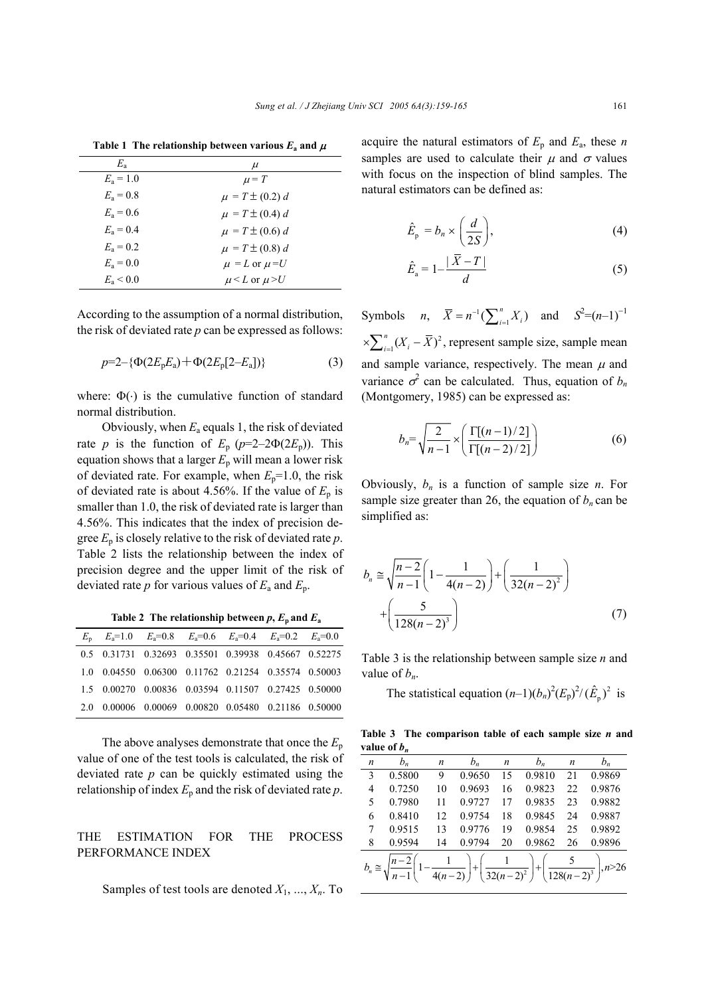| <b>Table 1</b> The relationship between various $E_3$ and $\mu$ |                        |  |  |  |
|-----------------------------------------------------------------|------------------------|--|--|--|
| $E_{\rm a}$                                                     | $\mu$                  |  |  |  |
| $E_{\rm a} = 1.0$                                               | $\mu = T$              |  |  |  |
| $E_{\rm a} = 0.8$                                               | $\mu = T \pm (0.2) d$  |  |  |  |
| $E_{\rm a} = 0.6$                                               | $\mu = T \pm (0.4) d$  |  |  |  |
| $E_{\rm a} = 0.4$                                               | $\mu = T \pm (0.6) d$  |  |  |  |
| $E_{\rm a} = 0.2$                                               | $\mu = T \pm (0.8) d$  |  |  |  |
| $E_{\rm a} = 0.0$                                               | $\mu = L$ or $\mu = U$ |  |  |  |
| $E_{\rm a}$ < 0.0                                               | $\mu < L$ or $\mu > U$ |  |  |  |

**Table 1 The relationship between various** *E***a and** <sup>µ</sup>

According to the assumption of a normal distribution, the risk of deviated rate *p* can be expressed as follows:

$$
p=2-\{\Phi(2E_pE_a)+\Phi(2E_p[2-E_a])\}\tag{3}
$$

where:  $\Phi(\cdot)$  is the cumulative function of standard normal distribution.

Obviously, when *E*a equals 1, the risk of deviated rate *p* is the function of  $E_p$  ( $p=2-2\Phi(2E_p)$ ). This equation shows that a larger  $E_p$  will mean a lower risk of deviated rate. For example, when  $E_p=1.0$ , the risk of deviated rate is about 4.56%. If the value of  $E_p$  is smaller than 1.0, the risk of deviated rate is larger than 4.56%. This indicates that the index of precision degree  $E_p$  is closely relative to the risk of deviated rate  $p$ . Table 2 lists the relationship between the index of precision degree and the upper limit of the risk of deviated rate  $p$  for various values of  $E_a$  and  $E_p$ .

Table 2 The relationship between  $p$ ,  $E_p$  and  $E_a$ 

| $E_p$ $E_a=1.0$ $E_a=0.8$ $E_a=0.6$ $E_a=0.4$ $E_a=0.2$ $E_a=0.0$ |  |  |  |
|-------------------------------------------------------------------|--|--|--|
| 0.5 0.31731 0.32693 0.35501 0.39938 0.45667 0.52275               |  |  |  |
| 1.0 0.04550 0.06300 0.11762 0.21254 0.35574 0.50003               |  |  |  |
| 1.5 0.00270 0.00836 0.03594 0.11507 0.27425 0.50000               |  |  |  |
| 2.0 0.00006 0.00069 0.00820 0.05480 0.21186 0.50000               |  |  |  |

The above analyses demonstrate that once the  $E_p$ value of one of the test tools is calculated, the risk of deviated rate *p* can be quickly estimated using the relationship of index  $E_p$  and the risk of deviated rate  $p$ .

# THE ESTIMATION FOR THE PROCESS PERFORMANCE INDEX

Samples of test tools are denoted  $X_1, ..., X_n$ . To

acquire the natural estimators of  $E_p$  and  $E_a$ , these *n* samples are used to calculate their  $\mu$  and  $\sigma$  values with focus on the inspection of blind samples. The natural estimators can be defined as:

$$
\hat{E}_{\mathfrak{p}} = b_n \times \left(\frac{d}{2S}\right),\tag{4}
$$

$$
\hat{E}_{\rm a} = 1 - \frac{|\bar{X} - T|}{d} \tag{5}
$$

Symbols *n*,  $\overline{X} = n^{-1} (\sum_{i=1}^{n} X_i)$  and  $S^2 = (n-1)^{-1}$ 2  $\times \sum_{i=1}^{n} (X_i - \overline{X})^2$ , represent sample size, sample mean and sample variance, respectively. The mean  $\mu$  and variance  $\sigma^2$  can be calculated. Thus, equation of  $b_n$ (Montgomery, 1985) can be expressed as:

$$
b_n = \sqrt{\frac{2}{n-1}} \times \left( \frac{\Gamma[(n-1)/2]}{\Gamma[(n-2)/2]} \right) \tag{6}
$$

Obviously,  $b_n$  is a function of sample size  $n$ . For sample size greater than 26, the equation of  $b_n$  can be simplified as:

$$
b_n \approx \sqrt{\frac{n-2}{n-1}} \left( 1 - \frac{1}{4(n-2)} \right) + \left( \frac{1}{32(n-2)^2} \right) + \left( \frac{5}{128(n-2)^3} \right)
$$
(7)

Table 3 is the relationship between sample size *n* and value of  $b_n$ .

The statistical equation  $(n-1)(b_n)^2 (E_p)^2 / (\hat{E}_p)^2$  is

**Table 3 The comparison table of each sample size** *n* **and value** of *b* 

|                  | $\cdots$ |          |        |             |        |                        |        |
|------------------|----------|----------|--------|-------------|--------|------------------------|--------|
| $\boldsymbol{n}$ | $b_n$    | n        | $b_n$  | n           | $b_n$  | n                      | $b_n$  |
| 3                | 0.5800   | 9        | 0.9650 | 15          | 0.9810 | 21                     | 0.9869 |
| 4                | 0.7250   | 10       | 0.9693 | 16          | 0.9823 | 22                     | 0.9876 |
| 5                | 0.7980   | 11       | 0.9727 | 17          | 0.9835 | 23                     | 0.9882 |
| 6                | 0.8410   | 12       | 0.9754 | 18          | 0.9845 | 24                     | 0.9887 |
| 7                | 0.9515   | 13       | 0.9776 | 19          | 0.9854 | 25                     | 0.9892 |
| 8                | 0.9594   | 14       | 0.9794 | 20          | 0.9862 | 26                     | 0.9896 |
| $b_n \cong$      | $n - 2$  | $4(n-2)$ |        | $32(n-2)^2$ |        | $\frac{1}{128(n-2)^3}$ | ,n>26  |
|                  |          |          |        |             |        |                        |        |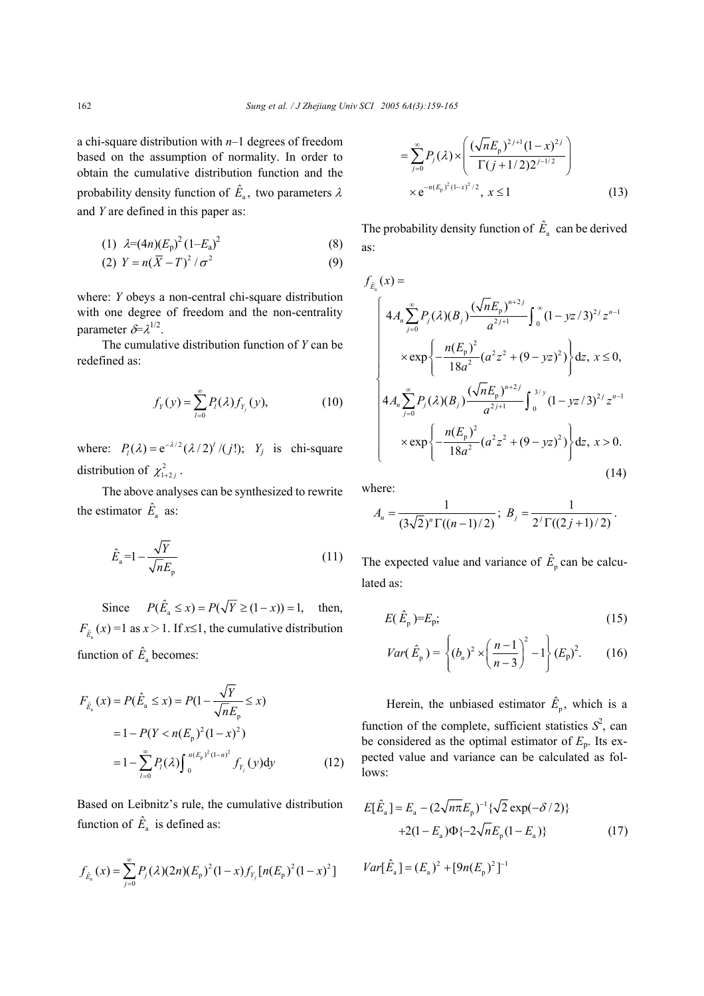a chi-square distribution with *n*–1 degrees of freedom based on the assumption of normality. In order to obtain the cumulative distribution function and the probability density function of  $\hat{E}_{\mathbf{a}}$ , two parameters  $\lambda$ and *Y* are defined in this paper as:

(1) 
$$
\lambda = (4n)(E_p)^2 (1-E_a)^2
$$
 (8)

(2) 
$$
Y = n(\bar{X} - T)^2 / \sigma^2
$$
 (9)

where: *Y* obeys a non-central chi-square distribution with one degree of freedom and the non-centrality parameter  $\delta = \lambda^{1/2}$ .

The cumulative distribution function of *Y* can be redefined as:

$$
f_Y(y) = \sum_{l=0}^{\infty} P_l(\lambda) f_{Y_j}(y),
$$
 (10)

where:  $P_l(\lambda) = e^{-\lambda/2} (\lambda/2)^l / (j!)$ ;  $Y_j$  is chi-square distribution of  $\chi^2_{1+2}$ .

The above analyses can be synthesized to rewrite the estimator  $\hat{E}_n$  as:

$$
\hat{E}_{\rm a} = 1 - \frac{\sqrt{Y}}{\sqrt{n}E_{\rm p}}\tag{11}
$$

Since  $P(\hat{E}_a \le x) = P(\sqrt{Y} \ge (1-x)) = 1$ , then,  $F_{\hat{E}_a}(x) = 1$  as  $x > 1$ . If  $x \le 1$ , the cumulative distribution function of  $\hat{E}_a$  becomes:

$$
F_{\hat{E}_a}(x) = P(\hat{E}_a \le x) = P(1 - \frac{\sqrt{Y}}{\sqrt{n}E_p} \le x)
$$
  
= 1 - P(Y < n(E\_p)^2 (1 - x)^2)  
= 1 - \sum\_{l=0}^{\infty} P\_l(\lambda) \int\_0^{n(E\_p)^2 (1 - n)^2} f\_{Y\_j}(y) dy \qquad (12)

Based on Leibnitz's rule, the cumulative distribution function of  $\hat{E}_a$  is defined as:

$$
f_{\hat{E}_a}(x) = \sum_{j=0}^{\infty} P_j(\lambda)(2n)(E_p)^2(1-x)f_{Y_j}[n(E_p)^2(1-x)^2]
$$

$$
= \sum_{j=0}^{\infty} P_j(\lambda) \times \left( \frac{(\sqrt{n}E_p)^{2j+1} (1-x)^{2j}}{\Gamma(j+1/2) 2^{j-1/2}} \right)
$$
  
× e<sup>-n(E\_p)^2(1-x)^2/2</sup>, x \le 1 (13)

The probability density function of  $\hat{E}_a$  can be derived as:

 $f_{\hat{E}_{a}}(x) =$  $\int_{p}^{n+2j} \int_{0}^{\infty} (1-x-1)^{2j} e^{n-1}$  $a^{2j+1}$   $J_0$  $\binom{p}{2}^2$   $\left(\frac{2}{2}\right)^2 + \left(\frac{0}{2}\right)^2$  $\exp\left\{-\frac{n(E_{\rm p})^2}{18a^2}(a^2z^2+(9-yz)^2)\right\}dz, x\leq 0,$  $\int_{p}^{n+2j}$   $\int_{0}^{3/y}$   $(1-x-1)^{2j}$   $a^{-1}$  $a^{2j+1}$   $J_0$  $\binom{p}{2}^2$   $\left(\frac{2}{2}\right)^2$   $\left(\frac{0}{2}\right)^2$  $\exp\left\{-\frac{n(E_{\rm p})^2}{18a^2}(a^2z^2+(9-yz)^2)\right\}$ d  $4A_n \sum_{i=1}^{\infty} P_i(\lambda)(B_i) \frac{(\sqrt{n}E_p)^{n+2j}}{2^{i+1}} \int_{0}^{\infty} (1 - yz/3)$  $4A_n \sum_{i=1}^{\infty} P_i(\lambda)(B_i) \frac{(\sqrt{nE_p})^{n+2j}}{2^{j+1}} \int_{0}^{3/y} (1 - yz/3)^{2j} z^n$  $\int_{a}^{b} \sum_{j=0} P_j(\lambda)(B_j) \frac{(\sqrt{B_j} - \mu_j)}{a^{2j+1}} \int_{0}^{\infty} (1 - yz/3)^{2j} z^{m}$  $a^{2j}$ <br>*j*=0<br>*j nE*  $A_n \sum P_i(\lambda)(B_i) \frac{(y+a_0)^2}{2}$   $\left[ (1 - yz/3)^{2j} z \right]$  $\sum_{j=0}^{\infty} P_j(\lambda)(B_j) \frac{(\sqrt{n}E_{\rm p})^{n+2j}}{a^{2j+1}} \int_{0}^{\infty} (1 - yz/3)^{2j} z^{n-j}$  $a^2z^2 + (9 - yz)^2$ }  $dz, x$  $\times$  exp  $\left\{ -\frac{n(E_{\rm p})^2}{18a^2}(a^2z^2 + (9 - yz)^2) \right\} dz, x \le$ *nE*  $A_n \sum P_i(\lambda)(B_i) \frac{(y+\lambda)^n p^j}{2^{i+1}} \left(1 - yz/3\right)^{2j} z$  $\sum_{j=0}^{\infty} P_j(\lambda)(B_j) \frac{(\sqrt{n}E_{\rm p})^{n+2j}}{a^{2j+1}} \int_{0}^{3/y} (1 - yz/3)^{2j} z^{n-j}$  $a^2z^2 + (9 - yz)^2)$   $dz$  $\times$  exp  $\left\{ -\frac{n(E_{\rm p})^2}{18a^2}(a^2z^2 + (9 - yz)^2) \right\}$  $\sum_{j=0}^{l} {i_j (\nu \nu)} (\nu_j)$   $a^{2j+1}$  $\sum_{j=0}^{l} {i_j (\kappa y) (\kappa_j y)} a^{2j+1}$  $\sum_i P_j(\lambda)(B_j) \frac{(\sqrt{n}L_p)}{a^{2j+1}} \int_0^\infty (1-\frac{1}{\sqrt{n}}) d\mu$  $\sum P_j(\lambda)(B_j) \frac{(\sqrt{n}L_p)}{a^{2j+1}} \int_0^{3/y} (1-y)$  $\left| \frac{\exp\left\{-\frac{n(L_p)}{18a^2}(a^2z^2+(9-yz)^2)\right\}}{18a^2}(dx, x>0.$  $\int$  $\overline{1}$  $\left| \right|$  $\frac{1}{2}$  $\left| \right|$  $\overline{ }$  $\mathbf{I}$ ₹  $\frac{1}{2}$  $\left| \right|$  $\frac{1}{2}$  $\frac{1}{2}$  $\overline{\mathfrak{l}}$ (14)

where:

$$
A_n = \frac{1}{(3\sqrt{2})^n \Gamma((n-1)/2)}; \ B_j = \frac{1}{2^j \Gamma((2j+1)/2)}.
$$

The expected value and variance of  $\hat{E}_n$  can be calculated as:

$$
E(\hat{E}_{\mathsf{p}})=E_{\mathsf{p}};\tag{15}
$$

$$
Var(\hat{E}_{\mathbf{p}}) = \left\{ (b_n)^2 \times \left( \frac{n-1}{n-3} \right)^2 - 1 \right\} (E_{\mathbf{p}})^2. \tag{16}
$$

Herein, the unbiased estimator  $\hat{E}_{\rho}$ , which is a function of the complete, sufficient statistics  $S^2$ , can be considered as the optimal estimator of  $E_p$ . Its expected value and variance can be calculated as follows:

$$
E[\hat{E}_a] = E_a - (2\sqrt{n\pi}E_p)^{-1} \{\sqrt{2} \exp(-\delta/2)\}\
$$
  
+2(1 - E\_a)\Phi\{-2\sqrt{n}E\_p(1 - E\_a)\}\t(17)

$$
Var[\hat{E}_a] = (E_a)^2 + [9n(E_p)^2]^{-1}
$$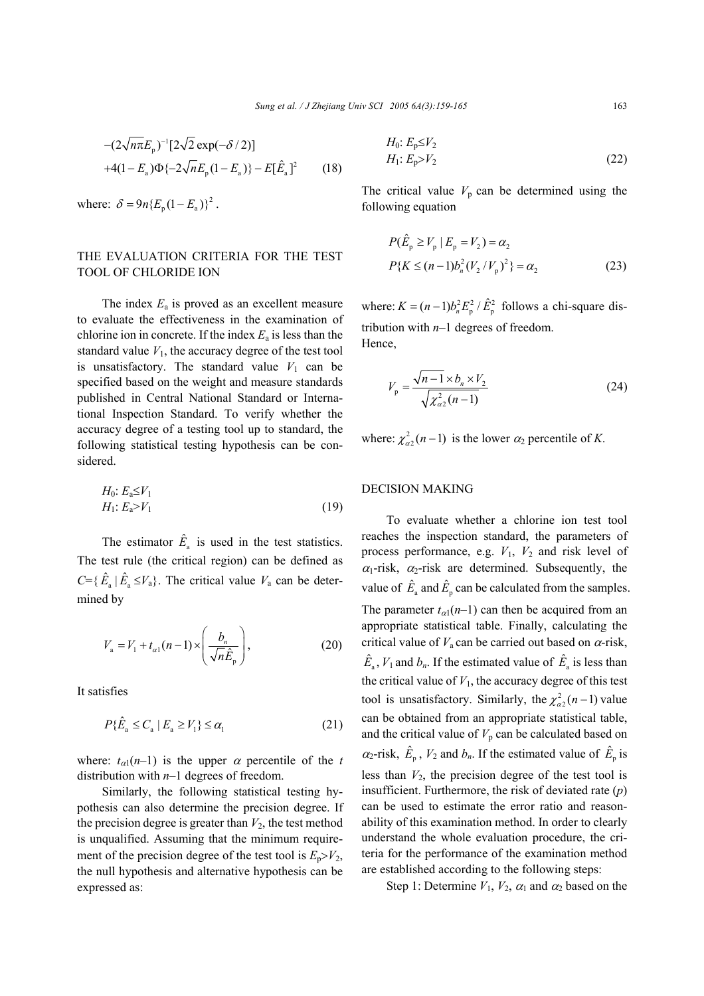$$
-(2\sqrt{n\pi}E_{p})^{-1}[2\sqrt{2}\exp(-\delta/2)]
$$
  
+4(1 - E<sub>a</sub>) $\Phi$ {-2 $\sqrt{n}E_{p}$ (1 - E<sub>a</sub>)} - E[\hat{E}\_{a}]^{2} (18)

where:  $\delta = 9n\{E_p(1 - E_a)\}^2$ .

# THE EVALUATION CRITERIA FOR THE TEST TOOL OF CHLORIDE ION

The index *E*a is proved as an excellent measure to evaluate the effectiveness in the examination of chlorine ion in concrete. If the index  $E_a$  is less than the standard value  $V_1$ , the accuracy degree of the test tool is unsatisfactory. The standard value  $V_1$  can be specified based on the weight and measure standards published in Central National Standard or International Inspection Standard. To verify whether the accuracy degree of a testing tool up to standard, the following statistical testing hypothesis can be considered.

$$
H_0: E_a \le V_1
$$
  
\n
$$
H_1: E_a > V_1
$$
\n(19)

The estimator  $\hat{E}_n$  is used in the test statistics. The test rule (the critical region) can be defined as  $C=\{\hat{E}_a \mid \hat{E}_a \leq V_a\}$ . The critical value  $V_a$  can be determined by

$$
V_{\rm a} = V_1 + t_{\alpha 1}(n-1) \times \left(\frac{b_n}{\sqrt{n}\hat{E}_{\rm p}}\right),\tag{20}
$$

It satisfies

$$
P\{\hat{E}_a \le C_a \mid E_a \ge V_1\} \le \alpha_1 \tag{21}
$$

where:  $t_{\alpha1}(n-1)$  is the upper  $\alpha$  percentile of the *t* distribution with *n*–1 degrees of freedom.

Similarly, the following statistical testing hypothesis can also determine the precision degree. If the precision degree is greater than  $V_2$ , the test method is unqualified. Assuming that the minimum requirement of the precision degree of the test tool is  $E_p > V_2$ , the null hypothesis and alternative hypothesis can be expressed as:

$$
H_0: E_p \le V_2
$$
  
\n
$$
H_1: E_p > V_2
$$
\n(22)

The critical value  $V_p$  can be determined using the following equation

$$
P(\hat{E}_p \ge V_p | E_p = V_2) = \alpha_2
$$
  

$$
P\{K \le (n-1)b_n^2 (V_2 / V_p)^2\} = \alpha_2
$$
 (23)

where:  $K = (n-1)b_n^2 E_p^2 / \hat{E}_p^2$  follows a chi-square distribution with  $n-1$  degrees of freedom. Hence,

$$
V_{\rm p} = \frac{\sqrt{n-1} \times b_n \times V_2}{\sqrt{\chi_{a2}^2(n-1)}}
$$
 (24)

where:  $\chi^2_{\alpha 2}(n-1)$  is the lower  $\alpha_2$  percentile of *K*.

#### DECISION MAKING

To evaluate whether a chlorine ion test tool reaches the inspection standard, the parameters of process performance, e.g. *V*1, *V*2 and risk level of  $\alpha_1$ -risk,  $\alpha_2$ -risk are determined. Subsequently, the value of  $\hat{E}_a$  and  $\hat{E}_p$  can be calculated from the samples. The parameter  $t_{\alpha1}(n-1)$  can then be acquired from an appropriate statistical table. Finally, calculating the critical value of  $V_a$  can be carried out based on  $\alpha$ -risk,  $\hat{E}_a$ ,  $V_1$  and  $b_n$ . If the estimated value of  $\hat{E}_a$  is less than the critical value of  $V_1$ , the accuracy degree of this test tool is unsatisfactory. Similarly, the  $\chi^2_{\alpha 2}(n-1)$  value can be obtained from an appropriate statistical table, and the critical value of  $V_p$  can be calculated based on  $\alpha_2$ -risk,  $\hat{E}_p$ ,  $V_2$  and  $b_n$ . If the estimated value of  $\hat{E}_p$  is less than  $V_2$ , the precision degree of the test tool is insufficient. Furthermore, the risk of deviated rate (*p*) can be used to estimate the error ratio and reasonability of this examination method. In order to clearly understand the whole evaluation procedure, the criteria for the performance of the examination method are established according to the following steps:

Step 1: Determine  $V_1$ ,  $V_2$ ,  $\alpha_1$  and  $\alpha_2$  based on the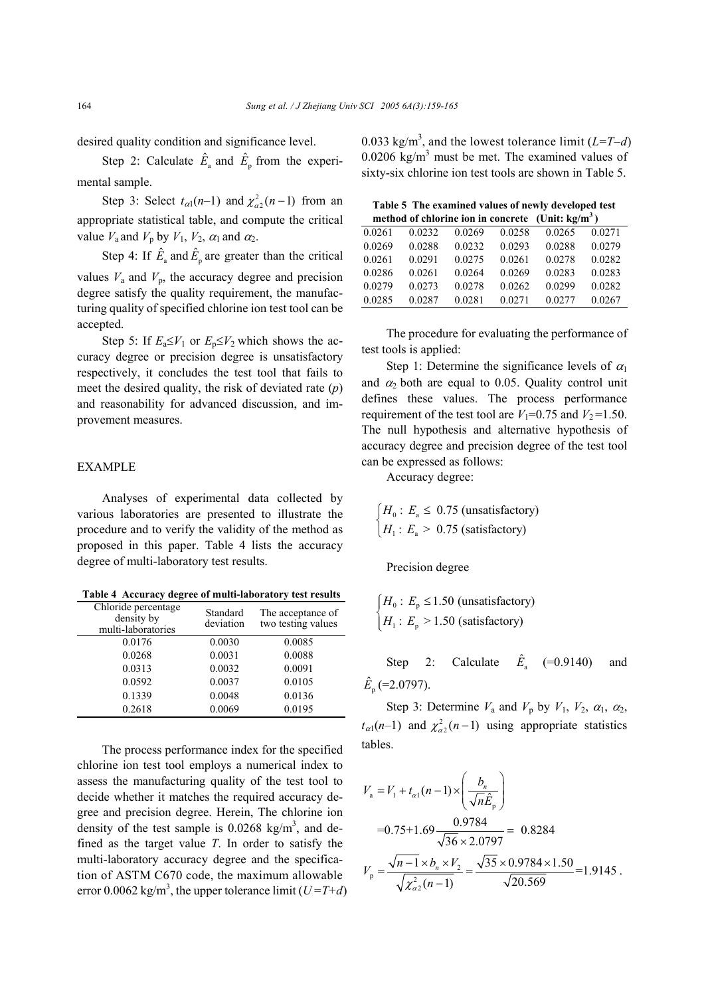desired quality condition and significance level.

Step 2: Calculate  $\hat{E}_n$  and  $\hat{E}_n$  from the experimental sample.

Step 3: Select  $t_{\alpha1}(n-1)$  and  $\chi^2_{\alpha2}(n-1)$  from an appropriate statistical table, and compute the critical value  $V_a$  and  $V_p$  by  $V_1$ ,  $V_2$ ,  $\alpha_1$  and  $\alpha_2$ .

Step 4: If  $\hat{E}_n$  and  $\hat{E}_n$  are greater than the critical values  $V_a$  and  $V_p$ , the accuracy degree and precision degree satisfy the quality requirement, the manufacturing quality of specified chlorine ion test tool can be accepted.

Step 5: If  $E_a \le V_1$  or  $E_p \le V_2$  which shows the accuracy degree or precision degree is unsatisfactory respectively, it concludes the test tool that fails to meet the desired quality, the risk of deviated rate (*p*) and reasonability for advanced discussion, and improvement measures.

#### EXAMPLE

Analyses of experimental data collected by various laboratories are presented to illustrate the procedure and to verify the validity of the method as proposed in this paper. Table 4 lists the accuracy degree of multi-laboratory test results.

**Table 4 Accuracy degree of multi-laboratory test results** 

| Chloride percentage<br>density by<br>multi-laboratories | Standard<br>deviation | The acceptance of<br>two testing values |
|---------------------------------------------------------|-----------------------|-----------------------------------------|
| 0.0176                                                  | 0.0030                | 0.0085                                  |
| 0.0268                                                  | 0.0031                | 0.0088                                  |
| 0.0313                                                  | 0.0032                | 0.0091                                  |
| 0.0592                                                  | 0.0037                | 0.0105                                  |
| 0.1339                                                  | 0.0048                | 0.0136                                  |
| 0.2618                                                  | 0.0069                | 0.0195                                  |

The process performance index for the specified chlorine ion test tool employs a numerical index to assess the manufacturing quality of the test tool to decide whether it matches the required accuracy degree and precision degree. Herein, The chlorine ion density of the test sample is  $0.0268 \text{ kg/m}^3$ , and defined as the target value *T*. In order to satisfy the multi-laboratory accuracy degree and the specification of ASTM C670 code, the maximum allowable error 0.0062 kg/m<sup>3</sup>, the upper tolerance limit  $(U = T + d)$ 

0.033 kg/m<sup>3</sup>, and the lowest tolerance limit  $(L=T-d)$  $0.0206$  kg/m<sup>3</sup> must be met. The examined values of sixty-six chlorine ion test tools are shown in Table 5.

**Table 5 The examined values of newly developed test** 

|        | method of chlorine ion in concrete |        |        | (Unit: $kg/m^3$ ) |        |
|--------|------------------------------------|--------|--------|-------------------|--------|
| 0.0261 | 0.0232                             | 0.0269 | 0.0258 | 0.0265            | 0.0271 |
| 0.0269 | 0.0288                             | 0.0232 | 0.0293 | 0.0288            | 0.0279 |
| 0.0261 | 0.0291                             | 0.0275 | 0.0261 | 0.0278            | 0.0282 |
| 0.0286 | 0.0261                             | 0.0264 | 0.0269 | 0.0283            | 0.0283 |
| 0.0279 | 0.0273                             | 0.0278 | 0.0262 | 0.0299            | 0.0282 |
| 0.0285 | 0.0287                             | 0.0281 | 0.0271 | 0.02.77           | 0.0267 |

The procedure for evaluating the performance of test tools is applied:

Step 1: Determine the significance levels of  $\alpha_1$ and  $\alpha_2$  both are equal to 0.05. Quality control unit defines these values. The process performance requirement of the test tool are  $V_1=0.75$  and  $V_2=1.50$ . The null hypothesis and alternative hypothesis of accuracy degree and precision degree of the test tool can be expressed as follows:

Accuracy degree:

$$
\begin{cases} H_0: E_\mathrm{a} \leq 0.75 \text{ (unsatisfactory)}\\ H_1: E_\mathrm{a} > 0.75 \text{ (satisfactory)} \end{cases}
$$

Precision degree

$$
\begin{cases}\nH_0: E_p \le 1.50 \text{ (unsatisfactory)} \\
H_1: E_p > 1.50 \text{ (satisfactory)}\n\end{cases}
$$

Step 2: Calculate  $\hat{E}$  (=0.9140) and  $\hat{E}_n$  (=2.0797).

Step 3: Determine  $V_a$  and  $V_p$  by  $V_1$ ,  $V_2$ ,  $\alpha_1$ ,  $\alpha_2$ ,  $t_{\alpha1}(n-1)$  and  $\chi^2_{\alpha2}(n-1)$  using appropriate statistics tables.

$$
V_{\rm a} = V_{\rm 1} + t_{\alpha 1}(n-1) \times \left(\frac{b_n}{\sqrt{n} \hat{E}_{\rm p}}\right)
$$
  
= 0.75+1.69 \frac{0.9784}{\sqrt{36} \times 2.0797} = 0.8284  

$$
V_{\rm p} = \frac{\sqrt{n-1} \times b_n \times V_2}{\sqrt{\chi_{\alpha 2}^2(n-1)}} = \frac{\sqrt{35} \times 0.9784 \times 1.50}{\sqrt{20.569}} = 1.9145.
$$